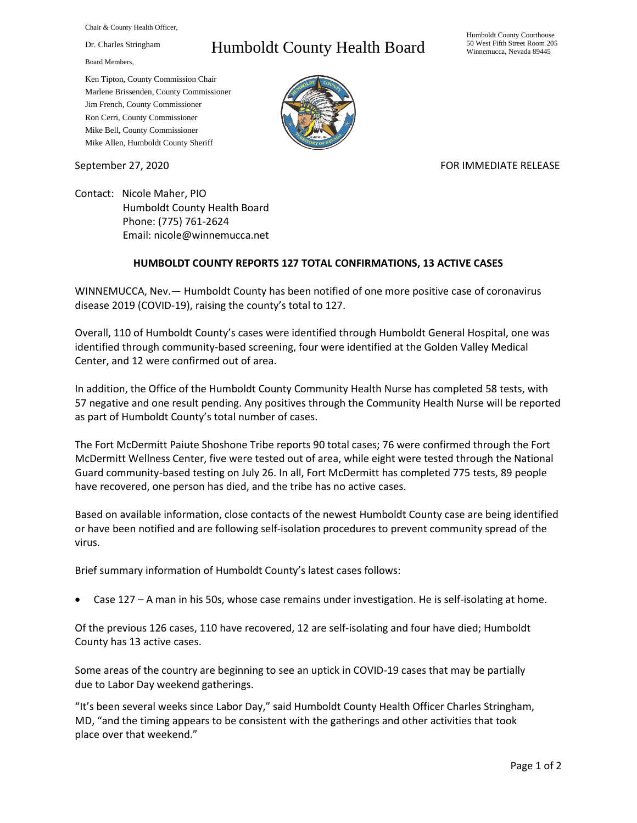Chair & County Health Officer,

Dr. Charles Stringham

Board Members,

## Humboldt County Health Board

Humboldt County Courthouse 50 West Fifth Street Room 205 Winnemucca, Nevada 89445

Ken Tipton, County Commission Chair Marlene Brissenden, County Commissioner Jim French, County Commissioner Ron Cerri, County Commissioner Mike Bell, County Commissioner Mike Allen, Humboldt County Sheriff

September 27, 2020 FOR IMMEDIATE RELEASE

Contact: Nicole Maher, PIO Humboldt County Health Board Phone: (775) 761-2624 Email: nicole@winnemucca.net

## **HUMBOLDT COUNTY REPORTS 127 TOTAL CONFIRMATIONS, 13 ACTIVE CASES**

WINNEMUCCA, Nev.— Humboldt County has been notified of one more positive case of coronavirus disease 2019 (COVID-19), raising the county's total to 127.

Overall, 110 of Humboldt County's cases were identified through Humboldt General Hospital, one was identified through community-based screening, four were identified at the Golden Valley Medical Center, and 12 were confirmed out of area.

In addition, the Office of the Humboldt County Community Health Nurse has completed 58 tests, with 57 negative and one result pending. Any positives through the Community Health Nurse will be reported as part of Humboldt County's total number of cases.

The Fort McDermitt Paiute Shoshone Tribe reports 90 total cases; 76 were confirmed through the Fort McDermitt Wellness Center, five were tested out of area, while eight were tested through the National Guard community-based testing on July 26. In all, Fort McDermitt has completed 775 tests, 89 people have recovered, one person has died, and the tribe has no active cases.

Based on available information, close contacts of the newest Humboldt County case are being identified or have been notified and are following self-isolation procedures to prevent community spread of the virus.

Brief summary information of Humboldt County's latest cases follows:

• Case 127 – A man in his 50s, whose case remains under investigation. He is self-isolating at home.

Of the previous 126 cases, 110 have recovered, 12 are self-isolating and four have died; Humboldt County has 13 active cases.

Some areas of the country are beginning to see an uptick in COVID-19 cases that may be partially due to Labor Day weekend gatherings.

"It's been several weeks since Labor Day," said Humboldt County Health Officer Charles Stringham, MD, "and the timing appears to be consistent with the gatherings and other activities that took place over that weekend."